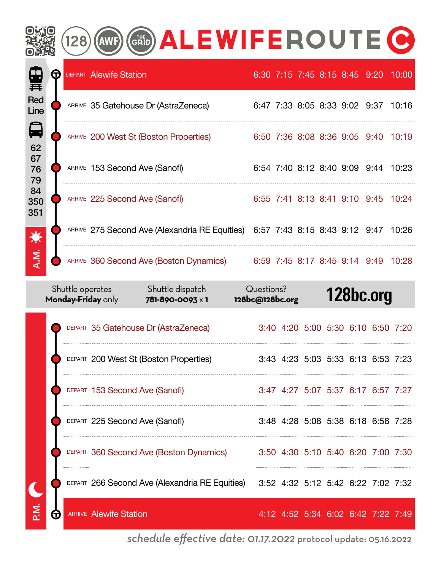

DEPART 225 Second Ave (Sanofi) 3:48 4:28 5:08 5:38 6:18 6:58 7:28

DEPART 360 Second Ave (Boston Dynamics) 3:50 4:30 5:10 5:40 6:20 7:00 7:30

DEPART 266 Second Ave (Alexandria RE Equities) 3:52 4:32 5:12 5:42 6:22 7:02 7:32

.<br>آ<br>آ G

ARRIVE Alewife Station 4:12 4:52 5:34 6:02 6:42 7:22 7:49

*schedule effective date: 01.17.2022* protocol update: 05.16.2022